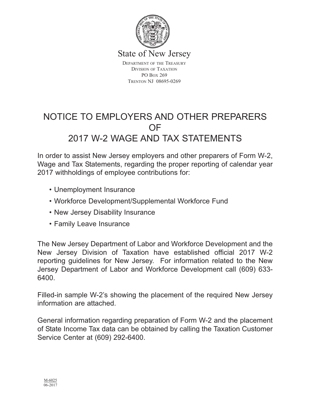

State of New Jersey

DEPARTMENT OF THE TREASURY DIVISION OF TAXATION PO BOX 269 TRENTON NJ 08695-0269

## NOTICE TO EMPLOYERS AND OTHER PREPARERS OF 2017 W-2 WAGE AND TAX STATEMENTS

In order to assist New Jersey employers and other preparers of Form W-2, Wage and Tax Statements, regarding the proper reporting of calendar year 2017 withholdings of employee contributions for:

- Unemployment Insurance
- Workforce Development/Supplemental Workforce Fund
- New Jersey Disability Insurance
- Family Leave Insurance

The New Jersey Department of Labor and Workforce Development and the New Jersey Division of Taxation have established official 2017 W-2 reporting guidelines for New Jersey. For information related to the New Jersey Department of Labor and Workforce Development call (609) 633- 6400.

Filled-in sample W-2's showing the placement of the required New Jersey information are attached.

General information regarding preparation of Form W-2 and the placement of State Income Tax data can be obtained by calling the Taxation Customer Service Center at (609) 292-6400.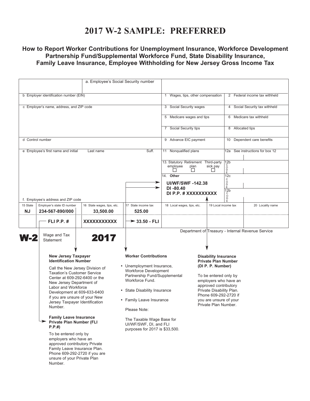### **2017 W-2 SAMPLE: PREFERRED**

#### **How to Report Worker Contributions for Unemployment Insurance, Workforce Development Partnership Fund/Supplemental Workforce Fund, State Disability Insurance, Family Leave Insurance, Employee Withholding for New Jersey Gross Income Tax**

|                                                           | a. Employee's Social Security number                                                                                                                                                                                                                                                                                                                                                                                                                                                                                          |                            |                                                                                                                                                                                                                                                                                                                   |                                                                     |                                                                                                                                                                                                                                                                  |                                           |                                                   |  |
|-----------------------------------------------------------|-------------------------------------------------------------------------------------------------------------------------------------------------------------------------------------------------------------------------------------------------------------------------------------------------------------------------------------------------------------------------------------------------------------------------------------------------------------------------------------------------------------------------------|----------------------------|-------------------------------------------------------------------------------------------------------------------------------------------------------------------------------------------------------------------------------------------------------------------------------------------------------------------|---------------------------------------------------------------------|------------------------------------------------------------------------------------------------------------------------------------------------------------------------------------------------------------------------------------------------------------------|-------------------------------------------|---------------------------------------------------|--|
| b Employer identification number (EIN)                    |                                                                                                                                                                                                                                                                                                                                                                                                                                                                                                                               |                            |                                                                                                                                                                                                                                                                                                                   |                                                                     |                                                                                                                                                                                                                                                                  |                                           | 2 Federal income tax withheld                     |  |
|                                                           |                                                                                                                                                                                                                                                                                                                                                                                                                                                                                                                               |                            |                                                                                                                                                                                                                                                                                                                   | 1 Wages, tips, other compensation                                   |                                                                                                                                                                                                                                                                  |                                           |                                                   |  |
|                                                           | c Employer's name, address, and ZIP code                                                                                                                                                                                                                                                                                                                                                                                                                                                                                      |                            |                                                                                                                                                                                                                                                                                                                   | 3 Social Security wages                                             |                                                                                                                                                                                                                                                                  | 4 Social Security tax withheld            |                                                   |  |
|                                                           |                                                                                                                                                                                                                                                                                                                                                                                                                                                                                                                               |                            |                                                                                                                                                                                                                                                                                                                   | 5 Medicare wages and tips                                           |                                                                                                                                                                                                                                                                  | Medicare tax withheld<br>6                |                                                   |  |
|                                                           |                                                                                                                                                                                                                                                                                                                                                                                                                                                                                                                               |                            |                                                                                                                                                                                                                                                                                                                   | 7 Social Security tips                                              |                                                                                                                                                                                                                                                                  | 8 Allocated tips                          |                                                   |  |
| d Control number                                          |                                                                                                                                                                                                                                                                                                                                                                                                                                                                                                                               |                            |                                                                                                                                                                                                                                                                                                                   | 9 Advance EIC payment                                               |                                                                                                                                                                                                                                                                  | 10 Dependent care benefits                |                                                   |  |
| Suff.<br>e Employee's first name and initial<br>Last name |                                                                                                                                                                                                                                                                                                                                                                                                                                                                                                                               |                            | 11 Nonqualified plans                                                                                                                                                                                                                                                                                             |                                                                     | See instructions for box 12<br>12a                                                                                                                                                                                                                               |                                           |                                                   |  |
|                                                           |                                                                                                                                                                                                                                                                                                                                                                                                                                                                                                                               |                            |                                                                                                                                                                                                                                                                                                                   | 13. Statutory Retirement Third-party<br>employee<br>plan<br>$\perp$ | sick pay                                                                                                                                                                                                                                                         | $\frac{1}{2}$<br>$\circ$<br>$\frac{D}{F}$ |                                                   |  |
|                                                           |                                                                                                                                                                                                                                                                                                                                                                                                                                                                                                                               |                            |                                                                                                                                                                                                                                                                                                                   | 14. Other                                                           |                                                                                                                                                                                                                                                                  | 12c<br>C                                  |                                                   |  |
|                                                           |                                                                                                                                                                                                                                                                                                                                                                                                                                                                                                                               |                            |                                                                                                                                                                                                                                                                                                                   | <b>UI/WF/SWF-142.38</b><br>DI-80.40                                 |                                                                                                                                                                                                                                                                  | $rac{1}{2}$                               |                                                   |  |
|                                                           |                                                                                                                                                                                                                                                                                                                                                                                                                                                                                                                               |                            |                                                                                                                                                                                                                                                                                                                   | DI P.P. # XXXXXXXXXX                                                |                                                                                                                                                                                                                                                                  | 12 <sub>b</sub><br>O<br>D                 |                                                   |  |
| 15 State                                                  | f. Employee's address and ZIP code<br>Employer's state ID number                                                                                                                                                                                                                                                                                                                                                                                                                                                              | 16 State wages, tips, etc. | 17 State income tax                                                                                                                                                                                                                                                                                               | 18 Local wages, tips, etc.                                          | 19 Local income tax                                                                                                                                                                                                                                              |                                           | 20 Locality name                                  |  |
| NJ                                                        | 234-567-890/000                                                                                                                                                                                                                                                                                                                                                                                                                                                                                                               | 33,500.00                  | 525.00                                                                                                                                                                                                                                                                                                            |                                                                     |                                                                                                                                                                                                                                                                  |                                           |                                                   |  |
|                                                           | FLI P.P. $#$                                                                                                                                                                                                                                                                                                                                                                                                                                                                                                                  | <b>XXXXXXXXXXX</b>         | $\rightarrow$ 33.50 - FLI                                                                                                                                                                                                                                                                                         |                                                                     |                                                                                                                                                                                                                                                                  |                                           |                                                   |  |
| N-2                                                       | Wage and Tax<br><b>Statement</b>                                                                                                                                                                                                                                                                                                                                                                                                                                                                                              | 2017                       |                                                                                                                                                                                                                                                                                                                   |                                                                     |                                                                                                                                                                                                                                                                  |                                           | Department of Treasury - Internal Revenue Service |  |
|                                                           | <b>New Jersey Taxpayer</b><br><b>Identification Number</b><br>Call the New Jersey Division of<br><b>Taxation's Customer Service</b><br>Center at 609-292-6400 or the<br>New Jersey Department of<br>Labor and Workforce<br>Development at 609-633-6400<br>if you are unsure of your New<br>Jersey Taxpayer Identification<br>Number.<br><b>Family Leave Insurance</b><br>Private Plan Number (FLI<br>P.P.#<br>To be entered only by<br>employers who have an<br>approved contributory Private<br>Family Leave Insurance Plan. |                            | <b>Worker Contributions</b><br>• Unemployment Insurance,<br><b>Workforce Development</b><br>Partnership Fund/Supplemental<br>Workforce Fund.<br>• State Disability Insurance<br>• Family Leave Insurance<br>Please Note:<br>The Taxable Wage Base for<br>UI/WF/SWF, DI, and FLI<br>purposes for 2017 is \$33,500. |                                                                     | <b>Disability Insurance</b><br><b>Private Plan Number</b><br>(DI P. P. Number)<br>To be entered only by<br>employers who have an<br>approved contributory<br>Private Disability Plan.<br>Phone 609-292-2720 if<br>you are unsure of your<br>Private Plan Number. |                                           |                                                   |  |
|                                                           | Phone 609-292-2720 if you are<br>unsure of your Private Plan<br>Number.                                                                                                                                                                                                                                                                                                                                                                                                                                                       |                            |                                                                                                                                                                                                                                                                                                                   |                                                                     |                                                                                                                                                                                                                                                                  |                                           |                                                   |  |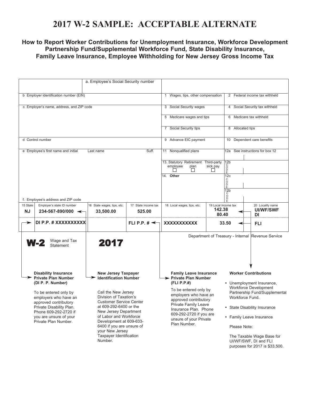## **2017 W-2 SAMPLE: ACCEPTABLE ALTERNATE**

#### **How to Report Worker Contributions for Unemployment Insurance, Workforce Development Partnership Fund/Supplemental Workforce Fund, State Disability Insurance, Family Leave Insurance, Employee Withholding for New Jersey Gross Income Tax**

| b Employer identification number (EIN)                                                                                           |                                                                                                                              |                                                                                                                                                                                                                              |                                                                                                      | 1 Wages, tips, other compensation                                                                                  |                                                                                                                                   | 2 Federal income tax withheld                                                                                                                                    |                                                   |  |
|----------------------------------------------------------------------------------------------------------------------------------|------------------------------------------------------------------------------------------------------------------------------|------------------------------------------------------------------------------------------------------------------------------------------------------------------------------------------------------------------------------|------------------------------------------------------------------------------------------------------|--------------------------------------------------------------------------------------------------------------------|-----------------------------------------------------------------------------------------------------------------------------------|------------------------------------------------------------------------------------------------------------------------------------------------------------------|---------------------------------------------------|--|
| c Employer's name, address, and ZIP code                                                                                         |                                                                                                                              |                                                                                                                                                                                                                              |                                                                                                      | 3 Social Security wages                                                                                            |                                                                                                                                   | 4 Social Security tax withheld                                                                                                                                   |                                                   |  |
|                                                                                                                                  |                                                                                                                              |                                                                                                                                                                                                                              |                                                                                                      | 5 Medicare wages and tips                                                                                          |                                                                                                                                   | 6 Medicare tax withheld                                                                                                                                          |                                                   |  |
|                                                                                                                                  |                                                                                                                              |                                                                                                                                                                                                                              |                                                                                                      | 7 Social Security tips                                                                                             |                                                                                                                                   | 8 Allocated tips                                                                                                                                                 |                                                   |  |
| d Control number                                                                                                                 |                                                                                                                              |                                                                                                                                                                                                                              |                                                                                                      | 9 Advance EIC payment                                                                                              |                                                                                                                                   | 10 Dependent care benefits                                                                                                                                       |                                                   |  |
|                                                                                                                                  | e Employee's first name and initial                                                                                          | Last name                                                                                                                                                                                                                    | Suff.                                                                                                | 11 Nonqualified plans<br>13. Statutory Retirement Third-party<br>employee<br>plan<br>п<br>14. Other                | sick pay<br>П                                                                                                                     | $\frac{12b}{c}$<br>$\bar{P}$<br>12c<br>С<br>O<br>D<br>E<br>12 <sub>b</sub><br>$\overline{O}$                                                                     | 12a See instructions for box 12                   |  |
| 15 State                                                                                                                         | f. Employee's address and ZIP code<br>Employer's state ID number                                                             | 16 State wages, tips, etc.                                                                                                                                                                                                   | 17 State income tax                                                                                  | 18 Local wages, tips, etc.                                                                                         | 19 Local income tax                                                                                                               |                                                                                                                                                                  | 20 Locality name                                  |  |
| NJ                                                                                                                               | $234 - 567 - 890/000$ $\leftarrow$                                                                                           | 33,500.00                                                                                                                                                                                                                    | 525.00                                                                                               |                                                                                                                    | 142.38<br>80.40                                                                                                                   |                                                                                                                                                                  | <b>UI/WF/SWF</b><br>DI                            |  |
| ►                                                                                                                                | DI P.P. # XXXXXXXXXX                                                                                                         |                                                                                                                                                                                                                              | FLI P.P. $\sharp \preceq$                                                                            | XXXXXXXXXXX                                                                                                        |                                                                                                                                   | 33.50                                                                                                                                                            | <b>FLI</b>                                        |  |
|                                                                                                                                  | Wage and Tax<br>W-2<br>Statement                                                                                             | 2017                                                                                                                                                                                                                         |                                                                                                      |                                                                                                                    |                                                                                                                                   |                                                                                                                                                                  | Department of Treasury - Internal Revenue Service |  |
| <b>Disability Insurance</b><br><b>Private Plan Number</b><br>(DI P. P. Number)<br>To be entered only by<br>employers who have an |                                                                                                                              |                                                                                                                                                                                                                              | <b>New Jersey Taxpayer</b><br>Identification Number<br>Call the New Jersey<br>Division of Taxation's |                                                                                                                    | <b>Family Leave Insurance</b><br>> Private Plan Number<br>To be entered only by<br>employers who have an<br>approved contributory | <b>Worker Contributions</b><br>• Unemployment Insurance,<br><b>Workforce Development</b><br>Partnership Fund/Supplemental<br>Workforce Fund.                     |                                                   |  |
|                                                                                                                                  | approved contributory<br>Private Disability Plan.<br>Phone 609-292-2720 if<br>you are unsure of your<br>Private Plan Number. | <b>Customer Service Center</b><br>at 609-292-6400 or the<br>New Jersey Department<br>of Labor and Workforce<br>Development at 609-633-<br>6400 if you are unsure of<br>your New Jersey<br>Taxpayer Identification<br>Number. |                                                                                                      | Private Family Leave<br>Insurance Plan. Phone<br>609-292-2720 if you are<br>unsure of your Private<br>Plan Number. |                                                                                                                                   | • State Disability Insurance<br>• Family Leave Insurance<br>Please Note:<br>The Taxable Wage Base for<br>UI/WF/SWF, DI and FLI<br>purposes for 2017 is \$33,500. |                                                   |  |